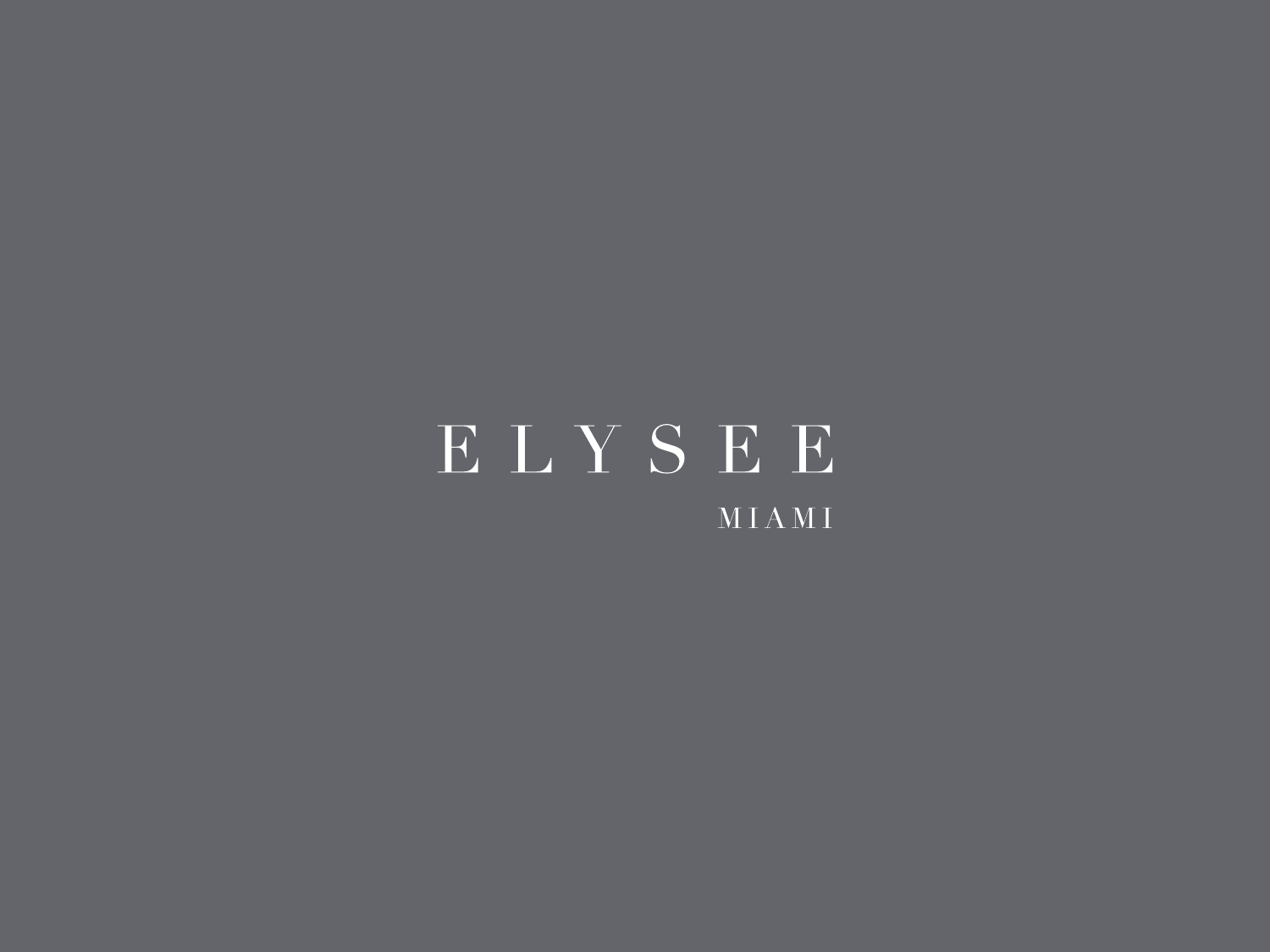## ELYSEE MIAMI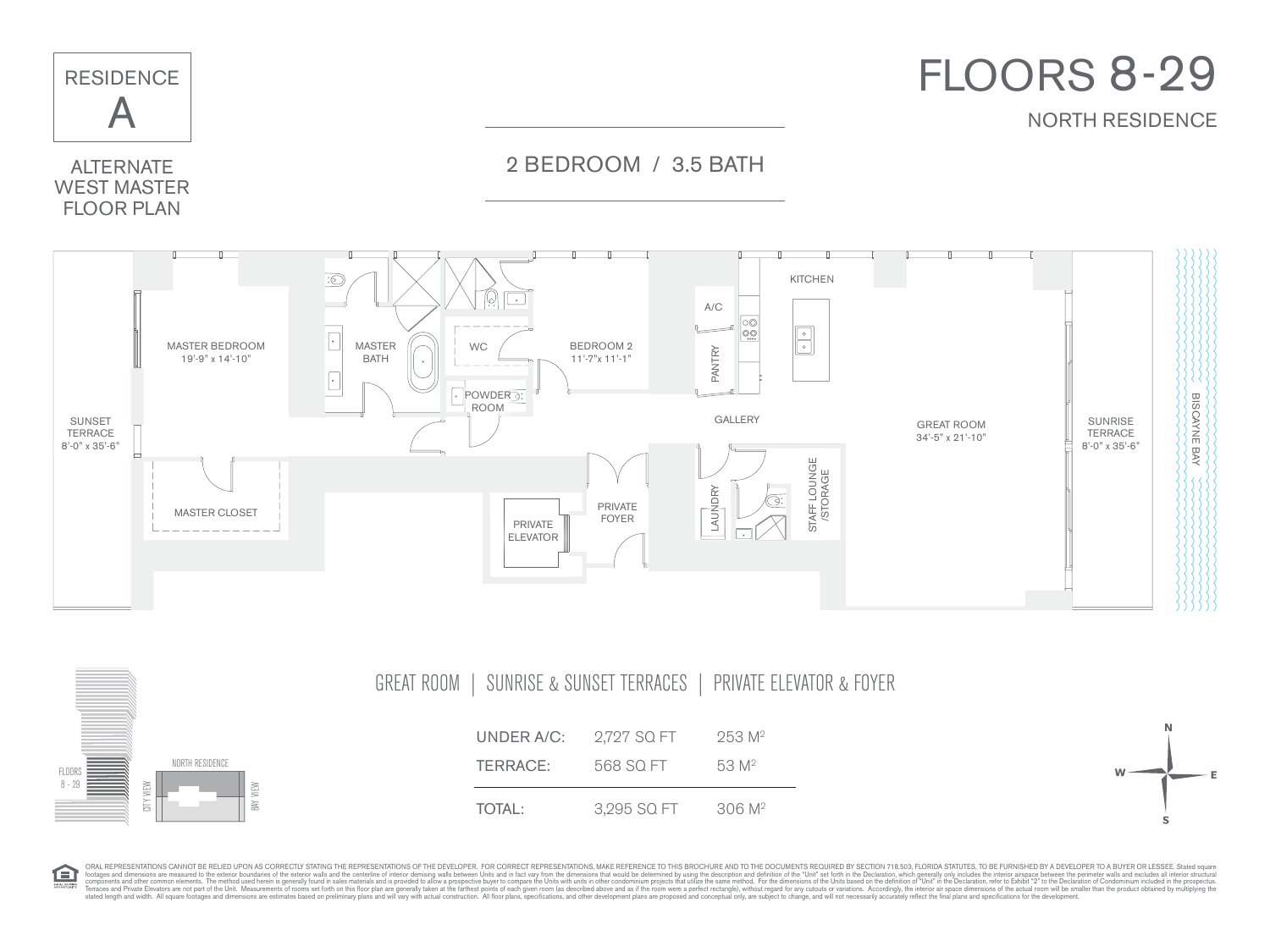

ORAL REPRESENTATIONS CANNOT BE RELIED UPON AS CORRECTLY STATING THE REPRESENTATIONS OF THE DEVELOPER. FOR CORRECT REPRESENTATIONS, MAKE REFERENCE TO THIS BROCHURE AND TO THE DOCUMENTS REQUIRED BY SECTION 718.503, FLORIDA S footspand dimensions are measured to the exterior burdaries of the exterior valls and the centerior desceptive of the aircolume of the stand of the dimensional of the dimensional of the dimensional of the dimensional of th

臼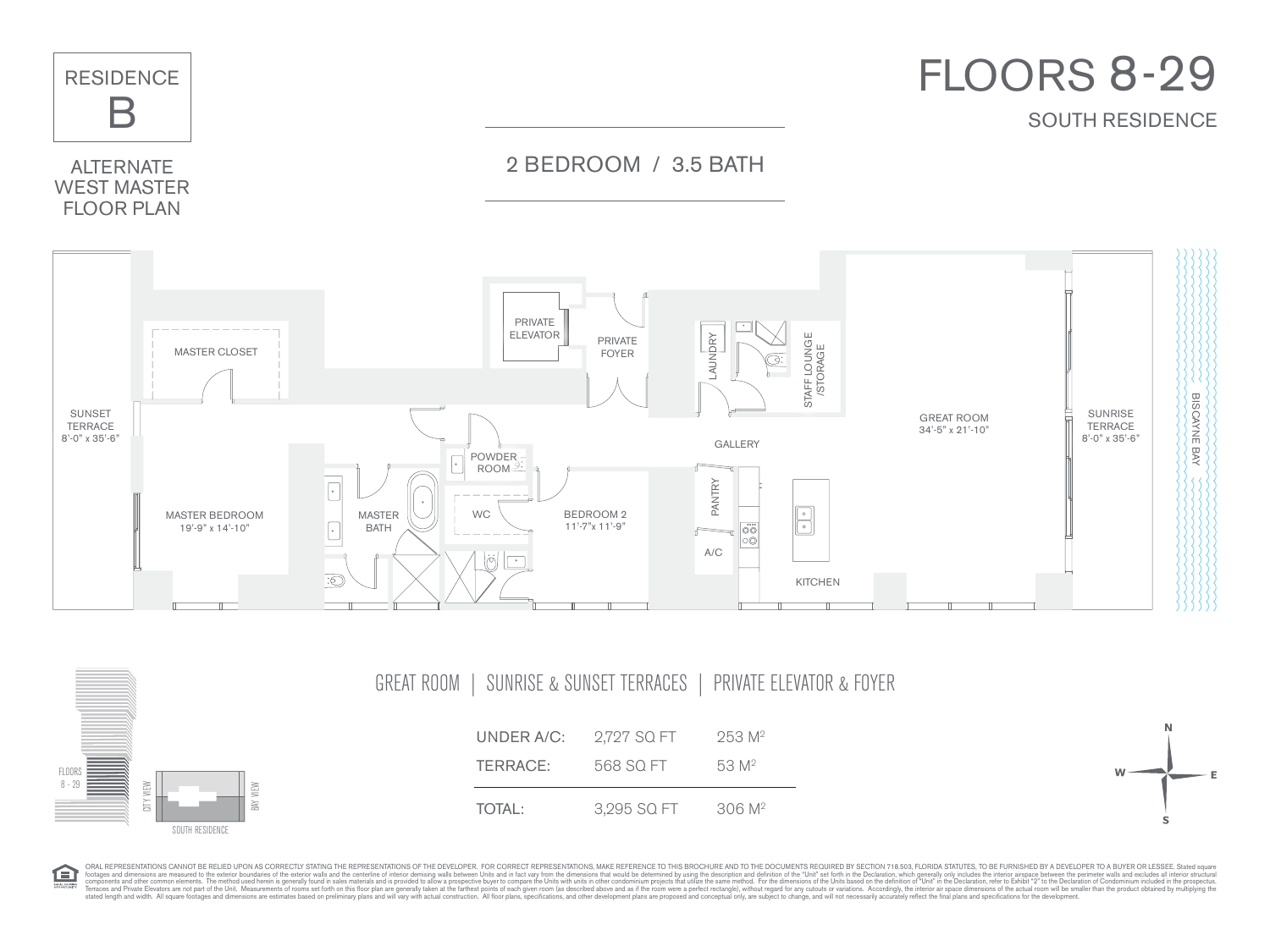



臼

| GREAT ROOM  <br>SUNRISE & SUNSET TERRACES   PRIVATE ELEVATOR & FOYER |
|----------------------------------------------------------------------|
|----------------------------------------------------------------------|



ORAL REPRESENTATIONS CANNOT BE RELIED UPON AS CORRECTLY STATING THE REPRESENTATIONS OF THE DEVELOPER. FOR CORRECT REPRESENTATIONS, MAKE REFERENCE TO THIS BROCHURE AND TO THE DOCUMENTS REQUIRED BY SECTION 718.503, FLORIDA S footspand dimensions are measured to the exterior burdaries of the exterior valls and the centerior desceptive of the aircolume of the stand of the dimensional of the dimensional of the dimensional of the dimensional of th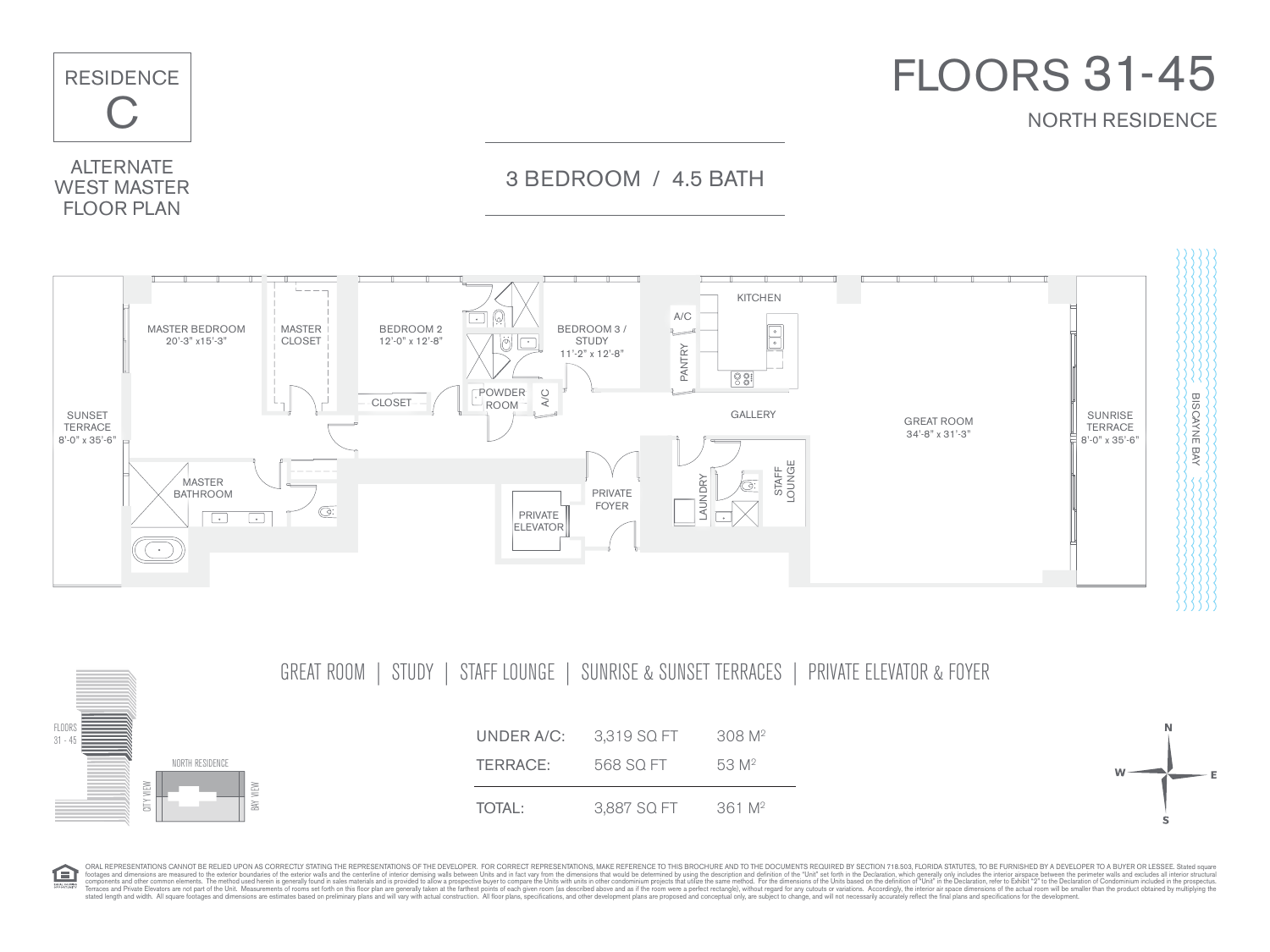

GREAT ROOM | STUDY | STAFF LOUNGE | SUNRISE & SUNSET TERRACES | PRIVATE ELEVATOR & FOYER



ORAL REPRESENTATIONS CANNOT BE RELIED UPON AS CORRECTLY STATING THE REPRESENTATIONS OF THE DEVELOPER. FOR CORRECT REPRESENTATIONS, MAKE REFERENCE TO THIS BROCHURE AND TO THE DOCUMENTS REQUIRED BY SECTION 718.503, FLORIDA S 臼 footspand dimensions are measured to the exterior burdaries of the exterior valls and the centerior desceptive of the aircolume of the stand of the dimensional of the dimensional of the dimensional of the dimensional of th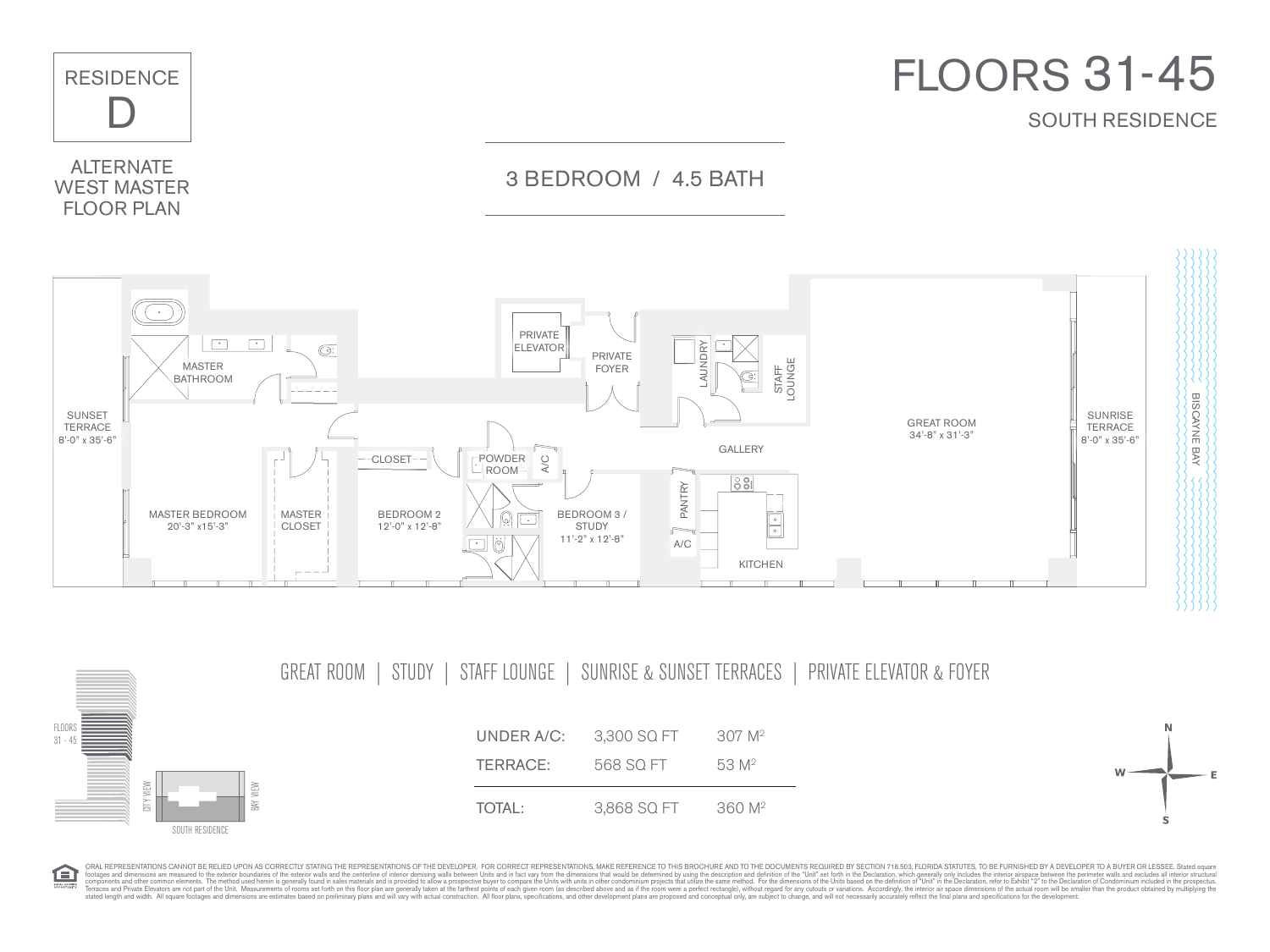

GREAT ROOM | STUDY | STAFF LOUNGE | SUNRISE & SUNSET TERRACES | PRIVATE ELEVATOR & FOYER

FLOORS 31 - 45



ORAL REPRESENTATIONS CANNOT BE RELIED UPON AS CORRECTLY STATING THE REPRESENTATIONS OF THE DEVELOPER. FOR CORRECT REPRESENTATIONS, MAKE REFERENCE TO THIS BROCHURE AND TO THE DOCUMENTS REQUIRED BY SECTION 718.503, FLORIDA S 臼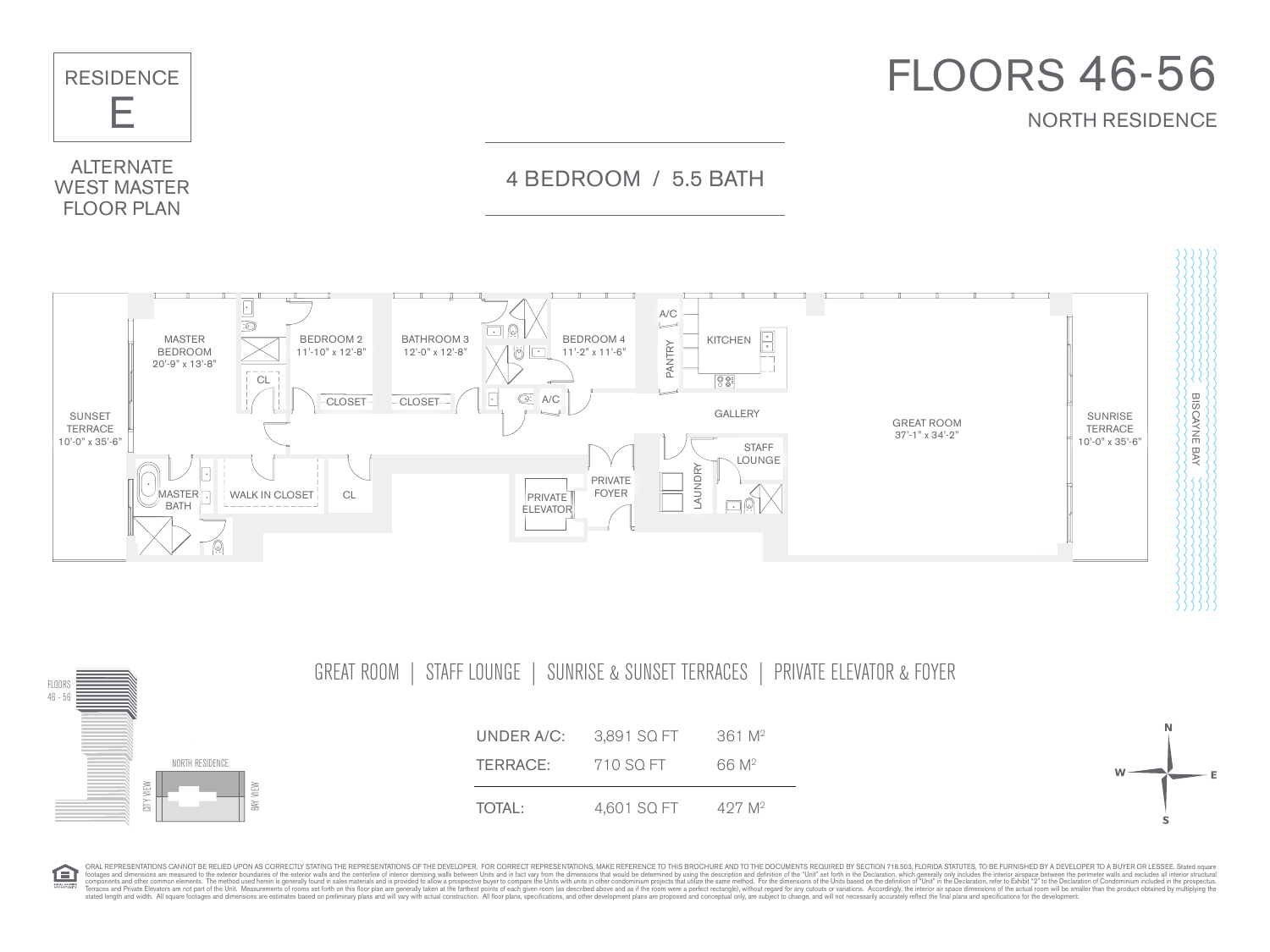

NORTH RESIDENCE FLOORS 46 - 56 GREAT ROOM | STAFF LOUNGE | SUNRISE & SUNSET TERRACES | PRIVATE ELEVATOR & FOYER UNDER A/C: 3.891 SQ FT 361 M<sup>2</sup> **TERRACE:** 710 SQ FT 66 M<sup>2</sup> TOTAL: 4,601 SQ FT 427 M<sup>2</sup>

臼

ORAL REPRESENTATIONS CANNOT BE RELIED UPON AS CORRECTLY STATING THE REPRESENTATIONS OF THE DEVELOPER. FOR CORRECT REPRESENTATIONS, MAKE REFERENCE TO THIS BROCHURE AND TO THE DOCUMENTS REQUIRED BY SECTION 718.503, FLORIDA S footages and dimensions are measured to the exterior boundaries of the exterior walls and the centerline of interior demising walls between Units and in fact vary from the dimensions that would be determined by using the description and definition of the "Unit" set forth in the Declaration, which generally only includes the interior airspace between the perimeter walls and excludes all interior structural components and other common elements. The method used herein is generally found in sales materials and is provided to allow a prospective buyer to compare the Units with units in other condominium projects that utilize the same method. For the dimensions of the Units based on the definition of "Unit" in the Declaration, refer to Exhibit "2" to the Declaration of Condominium included in the prospectus. Terraces and Private Elevators are not part of the Unit. Measurements of rooms set forth on this floor plan are generally taken at the farthest points of each given room (as described above and as if the room were a perfect rectangle), without regard for any cutouts or variations. Accordingly, the interior air space dimensions of the actual room will be smaller than the product obtained by multiplying the stated length and width. All square footages and dimensions are estimates based on preliminary plans and will vary with actual construction. All floor plans, specifications, and other development plans are proposed and conceptual only, are subject to change, and will not necessarily accurately reflect the final plans and specifications for the development. CITY VIEW BAY VIEW

W